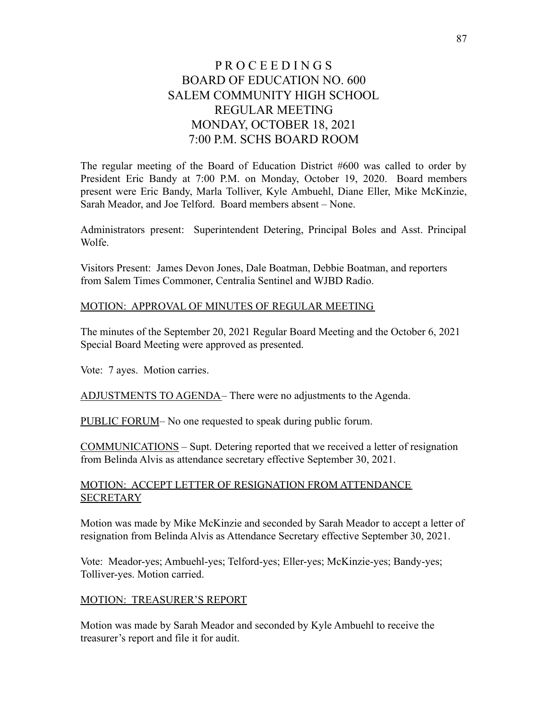# P R O C E E D I N G S BOARD OF EDUCATION NO. 600 SALEM COMMUNITY HIGH SCHOOL REGULAR MEETING MONDAY, OCTOBER 18, 2021 7:00 P.M. SCHS BOARD ROOM

The regular meeting of the Board of Education District #600 was called to order by President Eric Bandy at 7:00 P.M. on Monday, October 19, 2020. Board members present were Eric Bandy, Marla Tolliver, Kyle Ambuehl, Diane Eller, Mike McKinzie, Sarah Meador, and Joe Telford. Board members absent – None.

Administrators present: Superintendent Detering, Principal Boles and Asst. Principal Wolfe.

Visitors Present: James Devon Jones, Dale Boatman, Debbie Boatman, and reporters from Salem Times Commoner, Centralia Sentinel and WJBD Radio.

#### MOTION: APPROVAL OF MINUTES OF REGULAR MEETING

The minutes of the September 20, 2021 Regular Board Meeting and the October 6, 2021 Special Board Meeting were approved as presented.

Vote: 7 ayes. Motion carries.

ADJUSTMENTS TO AGENDA– There were no adjustments to the Agenda.

PUBLIC FORUM– No one requested to speak during public forum.

COMMUNICATIONS – Supt. Detering reported that we received a letter of resignation from Belinda Alvis as attendance secretary effective September 30, 2021.

#### MOTION: ACCEPT LETTER OF RESIGNATION FROM ATTENDANCE **SECRETARY**

Motion was made by Mike McKinzie and seconded by Sarah Meador to accept a letter of resignation from Belinda Alvis as Attendance Secretary effective September 30, 2021.

Vote: Meador-yes; Ambuehl-yes; Telford-yes; Eller-yes; McKinzie-yes; Bandy-yes; Tolliver-yes. Motion carried.

#### MOTION: TREASURER'S REPORT

Motion was made by Sarah Meador and seconded by Kyle Ambuehl to receive the treasurer's report and file it for audit.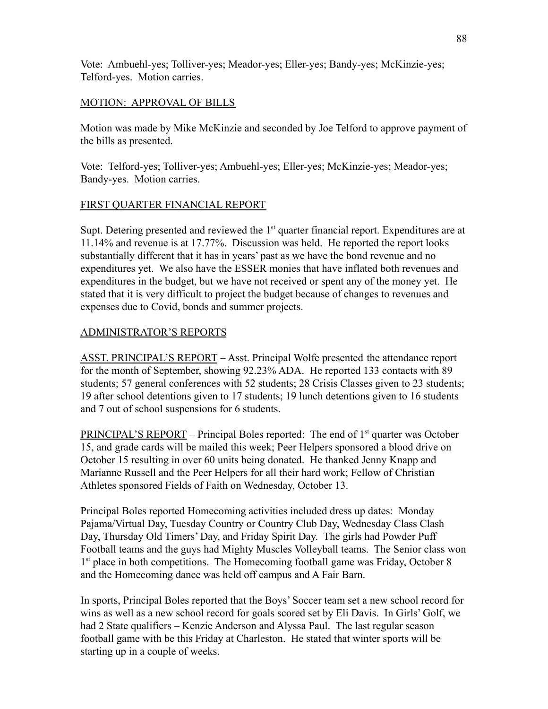Vote: Ambuehl-yes; Tolliver-yes; Meador-yes; Eller-yes; Bandy-yes; McKinzie-yes; Telford-yes. Motion carries.

## MOTION: APPROVAL OF BILLS

Motion was made by Mike McKinzie and seconded by Joe Telford to approve payment of the bills as presented.

Vote: Telford-yes; Tolliver-yes; Ambuehl-yes; Eller-yes; McKinzie-yes; Meador-yes; Bandy-yes. Motion carries.

# FIRST QUARTER FINANCIAL REPORT

Supt. Detering presented and reviewed the  $1<sup>st</sup>$  quarter financial report. Expenditures are at 11.14% and revenue is at 17.77%. Discussion was held. He reported the report looks substantially different that it has in years' past as we have the bond revenue and no expenditures yet. We also have the ESSER monies that have inflated both revenues and expenditures in the budget, but we have not received or spent any of the money yet. He stated that it is very difficult to project the budget because of changes to revenues and expenses due to Covid, bonds and summer projects.

# ADMINISTRATOR'S REPORTS

ASST. PRINCIPAL'S REPORT – Asst. Principal Wolfe presented the attendance report for the month of September, showing 92.23% ADA. He reported 133 contacts with 89 students; 57 general conferences with 52 students; 28 Crisis Classes given to 23 students; 19 after school detentions given to 17 students; 19 lunch detentions given to 16 students and 7 out of school suspensions for 6 students.

PRINCIPAL'S REPORT – Principal Boles reported: The end of  $1<sup>st</sup>$  quarter was October 15, and grade cards will be mailed this week; Peer Helpers sponsored a blood drive on October 15 resulting in over 60 units being donated. He thanked Jenny Knapp and Marianne Russell and the Peer Helpers for all their hard work; Fellow of Christian Athletes sponsored Fields of Faith on Wednesday, October 13.

Principal Boles reported Homecoming activities included dress up dates: Monday Pajama/Virtual Day, Tuesday Country or Country Club Day, Wednesday Class Clash Day, Thursday Old Timers' Day, and Friday Spirit Day. The girls had Powder Puff Football teams and the guys had Mighty Muscles Volleyball teams. The Senior class won 1<sup>st</sup> place in both competitions. The Homecoming football game was Friday, October 8 and the Homecoming dance was held off campus and A Fair Barn.

In sports, Principal Boles reported that the Boys' Soccer team set a new school record for wins as well as a new school record for goals scored set by Eli Davis. In Girls' Golf, we had 2 State qualifiers – Kenzie Anderson and Alyssa Paul. The last regular season football game with be this Friday at Charleston. He stated that winter sports will be starting up in a couple of weeks.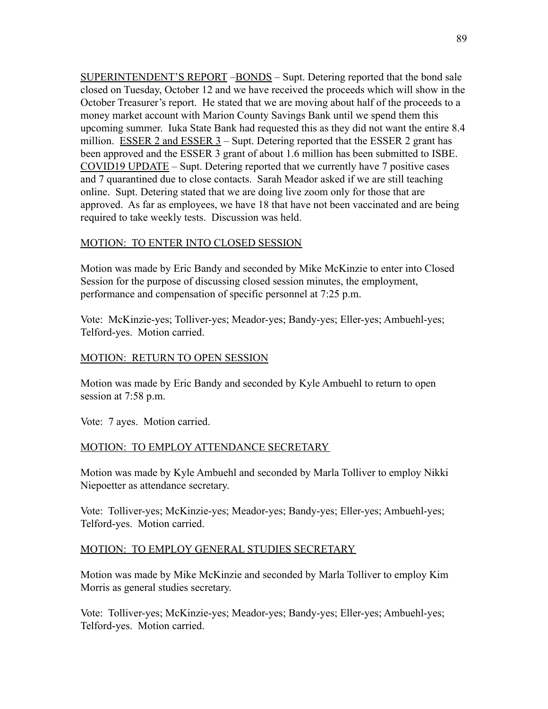SUPERINTENDENT'S REPORT –BONDS – Supt. Detering reported that the bond sale closed on Tuesday, October 12 and we have received the proceeds which will show in the October Treasurer's report. He stated that we are moving about half of the proceeds to a money market account with Marion County Savings Bank until we spend them this upcoming summer. Iuka State Bank had requested this as they did not want the entire 8.4 million. ESSER 2 and ESSER  $3$  – Supt. Detering reported that the ESSER 2 grant has been approved and the ESSER 3 grant of about 1.6 million has been submitted to ISBE. COVID19 UPDATE – Supt. Detering reported that we currently have 7 positive cases and 7 quarantined due to close contacts. Sarah Meador asked if we are still teaching online. Supt. Detering stated that we are doing live zoom only for those that are approved. As far as employees, we have 18 that have not been vaccinated and are being required to take weekly tests. Discussion was held.

#### MOTION: TO ENTER INTO CLOSED SESSION

Motion was made by Eric Bandy and seconded by Mike McKinzie to enter into Closed Session for the purpose of discussing closed session minutes, the employment, performance and compensation of specific personnel at 7:25 p.m.

Vote: McKinzie-yes; Tolliver-yes; Meador-yes; Bandy-yes; Eller-yes; Ambuehl-yes; Telford-yes. Motion carried.

### MOTION: RETURN TO OPEN SESSION

Motion was made by Eric Bandy and seconded by Kyle Ambuehl to return to open session at 7:58 p.m.

Vote: 7 ayes. Motion carried.

## MOTION: TO EMPLOY ATTENDANCE SECRETARY

Motion was made by Kyle Ambuehl and seconded by Marla Tolliver to employ Nikki Niepoetter as attendance secretary.

Vote: Tolliver-yes; McKinzie-yes; Meador-yes; Bandy-yes; Eller-yes; Ambuehl-yes; Telford-yes. Motion carried.

## MOTION: TO EMPLOY GENERAL STUDIES SECRETARY

Motion was made by Mike McKinzie and seconded by Marla Tolliver to employ Kim Morris as general studies secretary.

Vote: Tolliver-yes; McKinzie-yes; Meador-yes; Bandy-yes; Eller-yes; Ambuehl-yes; Telford-yes. Motion carried.